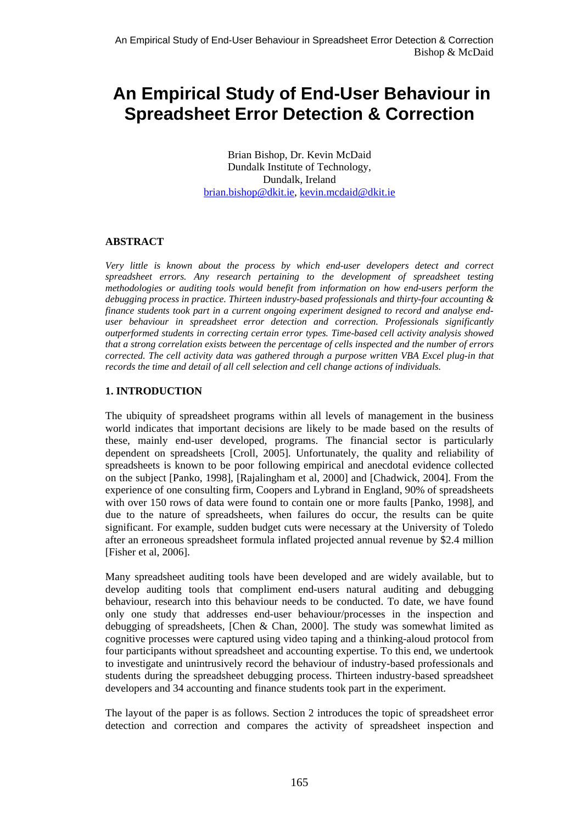# **An Empirical Study of End-User Behaviour in Spreadsheet Error Detection & Correction**

Brian Bishop, Dr. Kevin McDaid Dundalk Institute of Technology, Dundalk, Ireland [brian.bishop@dkit.ie,](mailto:brian.bishop@dkit.ie) [kevin.mcdaid@dkit.ie](mailto:kevin.mcdaid@dkit.ie)

#### **ABSTRACT**

*Very little is known about the process by which end-user developers detect and correct spreadsheet errors. Any research pertaining to the development of spreadsheet testing methodologies or auditing tools would benefit from information on how end-users perform the debugging process in practice. Thirteen industry-based professionals and thirty-four accounting & finance students took part in a current ongoing experiment designed to record and analyse enduser behaviour in spreadsheet error detection and correction. Professionals significantly outperformed students in correcting certain error types. Time-based cell activity analysis showed that a strong correlation exists between the percentage of cells inspected and the number of errors corrected. The cell activity data was gathered through a purpose written VBA Excel plug-in that records the time and detail of all cell selection and cell change actions of individuals.* 

#### **1. INTRODUCTION**

The ubiquity of spreadsheet programs within all levels of management in the business world indicates that important decisions are likely to be made based on the results of these, mainly end-user developed, programs. The financial sector is particularly dependent on spreadsheets [Croll, 2005]. Unfortunately, the quality and reliability of spreadsheets is known to be poor following empirical and anecdotal evidence collected on the subject [Panko, 1998], [Rajalingham et al, 2000] and [Chadwick, 2004]. From the experience of one consulting firm, Coopers and Lybrand in England, 90% of spreadsheets with over 150 rows of data were found to contain one or more faults [Panko, 1998], and due to the nature of spreadsheets, when failures do occur, the results can be quite significant. For example, sudden budget cuts were necessary at the University of Toledo after an erroneous spreadsheet formula inflated projected annual revenue by \$2.4 million [Fisher et al, 2006].

Many spreadsheet auditing tools have been developed and are widely available, but to develop auditing tools that compliment end-users natural auditing and debugging behaviour, research into this behaviour needs to be conducted. To date, we have found only one study that addresses end-user behaviour/processes in the inspection and debugging of spreadsheets, [Chen & Chan, 2000]. The study was somewhat limited as cognitive processes were captured using video taping and a thinking-aloud protocol from four participants without spreadsheet and accounting expertise. To this end, we undertook to investigate and unintrusively record the behaviour of industry-based professionals and students during the spreadsheet debugging process. Thirteen industry-based spreadsheet developers and 34 accounting and finance students took part in the experiment.

The layout of the paper is as follows. Section 2 introduces the topic of spreadsheet error detection and correction and compares the activity of spreadsheet inspection and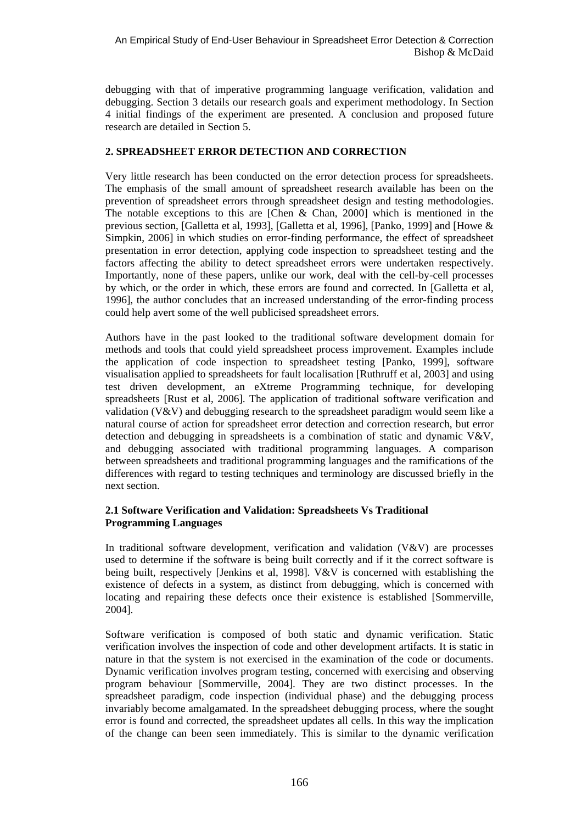debugging with that of imperative programming language verification, validation and debugging. Section 3 details our research goals and experiment methodology. In Section 4 initial findings of the experiment are presented. A conclusion and proposed future research are detailed in Section 5.

#### **2. SPREADSHEET ERROR DETECTION AND CORRECTION**

Very little research has been conducted on the error detection process for spreadsheets. The emphasis of the small amount of spreadsheet research available has been on the prevention of spreadsheet errors through spreadsheet design and testing methodologies. The notable exceptions to this are [Chen & Chan, 2000] which is mentioned in the previous section, [Galletta et al, 1993], [Galletta et al, 1996], [Panko, 1999] and [Howe & Simpkin, 2006] in which studies on error-finding performance, the effect of spreadsheet presentation in error detection, applying code inspection to spreadsheet testing and the factors affecting the ability to detect spreadsheet errors were undertaken respectively. Importantly, none of these papers, unlike our work, deal with the cell-by-cell processes by which, or the order in which, these errors are found and corrected. In [Galletta et al, 1996], the author concludes that an increased understanding of the error-finding process could help avert some of the well publicised spreadsheet errors.

Authors have in the past looked to the traditional software development domain for methods and tools that could yield spreadsheet process improvement. Examples include the application of code inspection to spreadsheet testing [Panko, 1999], software visualisation applied to spreadsheets for fault localisation [Ruthruff et al, 2003] and using test driven development, an eXtreme Programming technique, for developing spreadsheets [Rust et al, 2006]. The application of traditional software verification and validation (V&V) and debugging research to the spreadsheet paradigm would seem like a natural course of action for spreadsheet error detection and correction research, but error detection and debugging in spreadsheets is a combination of static and dynamic  $V\&V$ . and debugging associated with traditional programming languages. A comparison between spreadsheets and traditional programming languages and the ramifications of the differences with regard to testing techniques and terminology are discussed briefly in the next section.

#### **2.1 Software Verification and Validation: Spreadsheets Vs Traditional Programming Languages**

In traditional software development, verification and validation  $(V&V)$  are processes used to determine if the software is being built correctly and if it the correct software is being built, respectively [Jenkins et al, 1998]. V&V is concerned with establishing the existence of defects in a system, as distinct from debugging, which is concerned with locating and repairing these defects once their existence is established [Sommerville, 2004].

Software verification is composed of both static and dynamic verification. Static verification involves the inspection of code and other development artifacts. It is static in nature in that the system is not exercised in the examination of the code or documents. Dynamic verification involves program testing, concerned with exercising and observing program behaviour [Sommerville, 2004]. They are two distinct processes. In the spreadsheet paradigm, code inspection (individual phase) and the debugging process invariably become amalgamated. In the spreadsheet debugging process, where the sought error is found and corrected, the spreadsheet updates all cells. In this way the implication of the change can been seen immediately. This is similar to the dynamic verification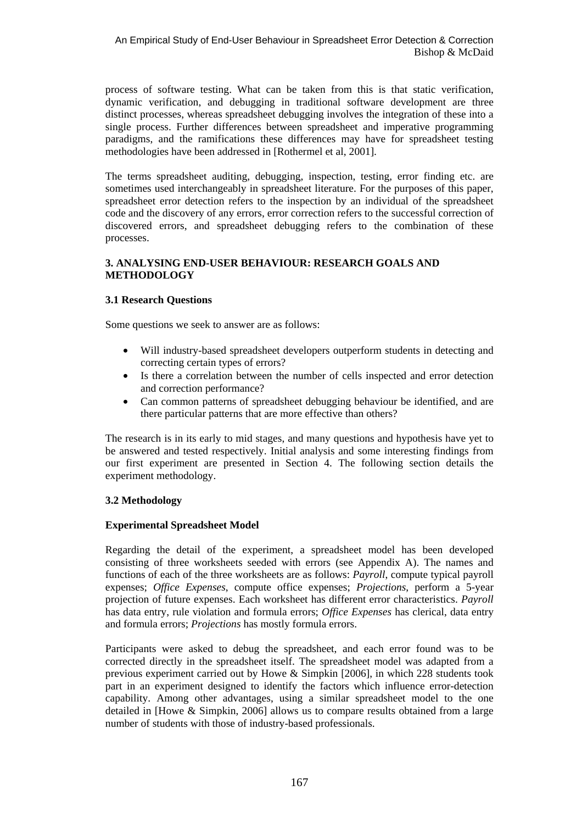process of software testing. What can be taken from this is that static verification, dynamic verification, and debugging in traditional software development are three distinct processes, whereas spreadsheet debugging involves the integration of these into a single process. Further differences between spreadsheet and imperative programming paradigms, and the ramifications these differences may have for spreadsheet testing methodologies have been addressed in [Rothermel et al, 2001].

The terms spreadsheet auditing, debugging, inspection, testing, error finding etc. are sometimes used interchangeably in spreadsheet literature. For the purposes of this paper, spreadsheet error detection refers to the inspection by an individual of the spreadsheet code and the discovery of any errors, error correction refers to the successful correction of discovered errors, and spreadsheet debugging refers to the combination of these processes.

#### **3. ANALYSING END-USER BEHAVIOUR: RESEARCH GOALS AND METHODOLOGY**

## **3.1 Research Questions**

Some questions we seek to answer are as follows:

- Will industry-based spreadsheet developers outperform students in detecting and correcting certain types of errors?
- Is there a correlation between the number of cells inspected and error detection and correction performance?
- Can common patterns of spreadsheet debugging behaviour be identified, and are there particular patterns that are more effective than others?

The research is in its early to mid stages, and many questions and hypothesis have yet to be answered and tested respectively. Initial analysis and some interesting findings from our first experiment are presented in Section 4. The following section details the experiment methodology.

## **3.2 Methodology**

## **Experimental Spreadsheet Model**

Regarding the detail of the experiment, a spreadsheet model has been developed consisting of three worksheets seeded with errors (see Appendix A). The names and functions of each of the three worksheets are as follows: *Payroll*, compute typical payroll expenses; *Office Expenses*, compute office expenses; *Projections*, perform a 5-year projection of future expenses. Each worksheet has different error characteristics. *Payroll* has data entry, rule violation and formula errors; *Office Expenses* has clerical, data entry and formula errors; *Projections* has mostly formula errors.

Participants were asked to debug the spreadsheet, and each error found was to be corrected directly in the spreadsheet itself. The spreadsheet model was adapted from a previous experiment carried out by Howe & Simpkin [2006], in which 228 students took part in an experiment designed to identify the factors which influence error-detection capability. Among other advantages, using a similar spreadsheet model to the one detailed in [Howe & Simpkin, 2006] allows us to compare results obtained from a large number of students with those of industry-based professionals.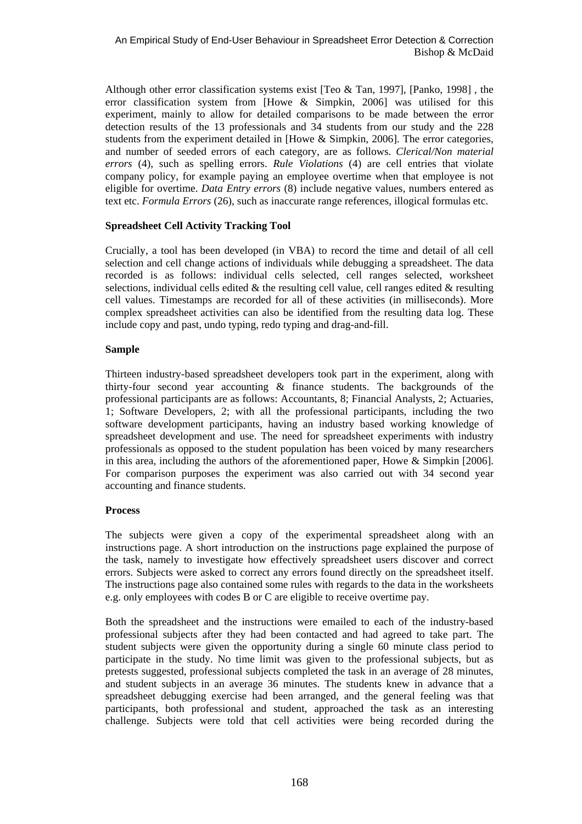Although other error classification systems exist [Teo & Tan, 1997], [Panko, 1998] , the error classification system from [Howe & Simpkin, 2006] was utilised for this experiment, mainly to allow for detailed comparisons to be made between the error detection results of the 13 professionals and 34 students from our study and the 228 students from the experiment detailed in [Howe & Simpkin, 2006]. The error categories, and number of seeded errors of each category, are as follows. *Clerical/Non material errors* (4), such as spelling errors. *Rule Violations* (4) are cell entries that violate company policy, for example paying an employee overtime when that employee is not eligible for overtime. *Data Entry errors* (8) include negative values, numbers entered as text etc. *Formula Errors* (26), such as inaccurate range references, illogical formulas etc.

#### **Spreadsheet Cell Activity Tracking Tool**

Crucially, a tool has been developed (in VBA) to record the time and detail of all cell selection and cell change actions of individuals while debugging a spreadsheet. The data recorded is as follows: individual cells selected, cell ranges selected, worksheet selections, individual cells edited  $\&$  the resulting cell value, cell ranges edited  $\&$  resulting cell values. Timestamps are recorded for all of these activities (in milliseconds). More complex spreadsheet activities can also be identified from the resulting data log. These include copy and past, undo typing, redo typing and drag-and-fill.

#### **Sample**

Thirteen industry-based spreadsheet developers took part in the experiment, along with thirty-four second year accounting & finance students. The backgrounds of the professional participants are as follows: Accountants, 8; Financial Analysts, 2; Actuaries, 1; Software Developers, 2; with all the professional participants, including the two software development participants, having an industry based working knowledge of spreadsheet development and use. The need for spreadsheet experiments with industry professionals as opposed to the student population has been voiced by many researchers in this area, including the authors of the aforementioned paper, Howe & Simpkin [2006]. For comparison purposes the experiment was also carried out with 34 second year accounting and finance students.

#### **Process**

The subjects were given a copy of the experimental spreadsheet along with an instructions page. A short introduction on the instructions page explained the purpose of the task, namely to investigate how effectively spreadsheet users discover and correct errors. Subjects were asked to correct any errors found directly on the spreadsheet itself. The instructions page also contained some rules with regards to the data in the worksheets e.g. only employees with codes B or C are eligible to receive overtime pay.

Both the spreadsheet and the instructions were emailed to each of the industry-based professional subjects after they had been contacted and had agreed to take part. The student subjects were given the opportunity during a single 60 minute class period to participate in the study. No time limit was given to the professional subjects, but as pretests suggested, professional subjects completed the task in an average of 28 minutes, and student subjects in an average 36 minutes. The students knew in advance that a spreadsheet debugging exercise had been arranged, and the general feeling was that participants, both professional and student, approached the task as an interesting challenge. Subjects were told that cell activities were being recorded during the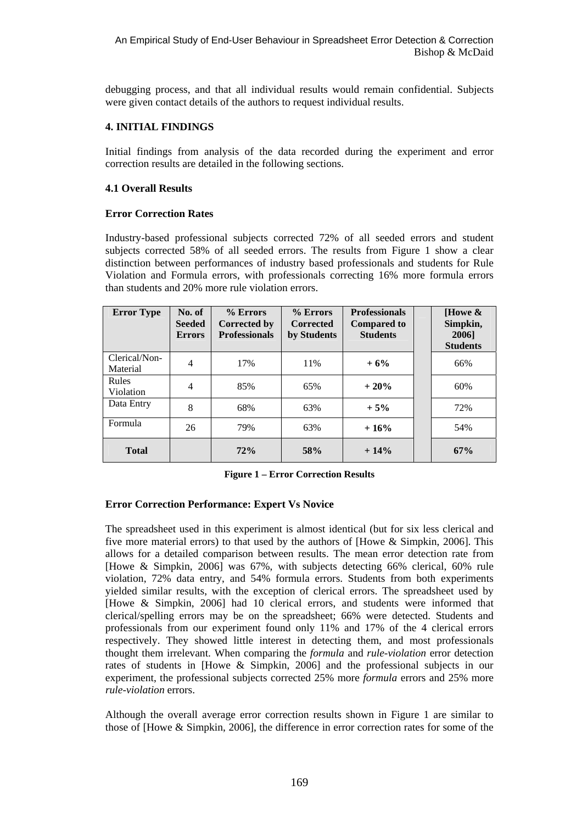debugging process, and that all individual results would remain confidential. Subjects were given contact details of the authors to request individual results.

#### **4. INITIAL FINDINGS**

Initial findings from analysis of the data recorded during the experiment and error correction results are detailed in the following sections.

#### **4.1 Overall Results**

#### **Error Correction Rates**

Industry-based professional subjects corrected 72% of all seeded errors and student subjects corrected 58% of all seeded errors. The results from Figure 1 show a clear distinction between performances of industry based professionals and students for Rule Violation and Formula errors, with professionals correcting 16% more formula errors than students and 20% more rule violation errors.

| <b>Error Type</b>         | No. of<br><b>Seeded</b><br><b>Errors</b> | % Errors<br>Corrected by<br><b>Professionals</b> | % Errors<br><b>Corrected</b><br>by Students | <b>Professionals</b><br><b>Compared to</b><br><b>Students</b> | [Howe $\&$<br>Simpkin,<br>2006]<br><b>Students</b> |
|---------------------------|------------------------------------------|--------------------------------------------------|---------------------------------------------|---------------------------------------------------------------|----------------------------------------------------|
| Clerical/Non-<br>Material | 4                                        | 17%                                              | 11%                                         | $+6%$                                                         | 66%                                                |
| Rules<br>Violation        | $\overline{4}$                           | 85%                                              | 65%                                         | $+20%$                                                        | 60%                                                |
| Data Entry                | 8                                        | 68%                                              | 63%                                         | $+5%$                                                         | 72%                                                |
| Formula                   | 26                                       | 79%                                              | 63%                                         | $+16%$                                                        | 54%                                                |
| <b>Total</b>              |                                          | 72%                                              | 58%                                         | $+14%$                                                        | 67%                                                |

**Figure 1 – Error Correction Results** 

#### **Error Correction Performance: Expert Vs Novice**

The spreadsheet used in this experiment is almost identical (but for six less clerical and five more material errors) to that used by the authors of [Howe & Simpkin, 2006]. This allows for a detailed comparison between results. The mean error detection rate from [Howe & Simpkin, 2006] was 67%, with subjects detecting 66% clerical, 60% rule violation, 72% data entry, and 54% formula errors. Students from both experiments yielded similar results, with the exception of clerical errors. The spreadsheet used by [Howe & Simpkin, 2006] had 10 clerical errors, and students were informed that clerical/spelling errors may be on the spreadsheet; 66% were detected. Students and professionals from our experiment found only 11% and 17% of the 4 clerical errors respectively. They showed little interest in detecting them, and most professionals thought them irrelevant. When comparing the *formula* and *rule-violation* error detection rates of students in [Howe & Simpkin, 2006] and the professional subjects in our experiment, the professional subjects corrected 25% more *formula* errors and 25% more *rule-violation* errors.

Although the overall average error correction results shown in Figure 1 are similar to those of [Howe & Simpkin, 2006], the difference in error correction rates for some of the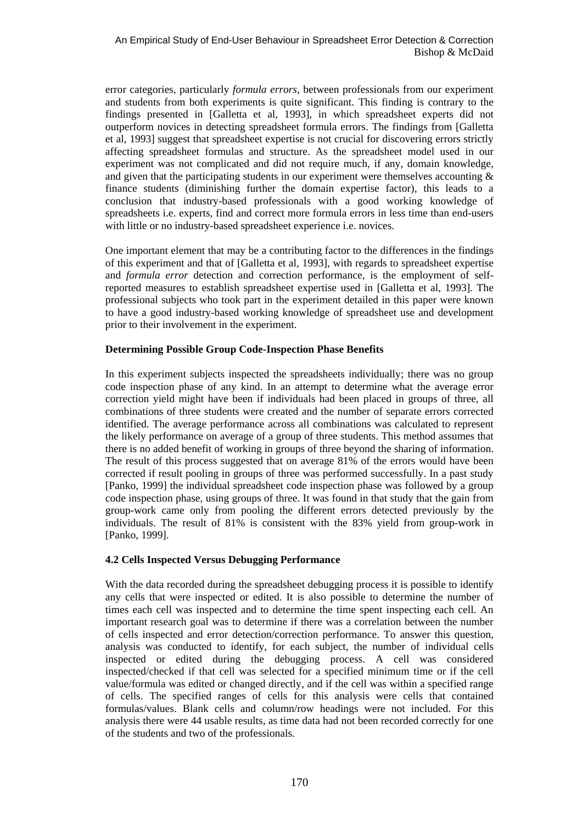error categories, particularly *formula errors*, between professionals from our experiment and students from both experiments is quite significant. This finding is contrary to the findings presented in [Galletta et al, 1993], in which spreadsheet experts did not outperform novices in detecting spreadsheet formula errors. The findings from [Galletta et al, 1993] suggest that spreadsheet expertise is not crucial for discovering errors strictly affecting spreadsheet formulas and structure. As the spreadsheet model used in our experiment was not complicated and did not require much, if any, domain knowledge, and given that the participating students in our experiment were themselves accounting & finance students (diminishing further the domain expertise factor), this leads to a conclusion that industry-based professionals with a good working knowledge of spreadsheets i.e. experts, find and correct more formula errors in less time than end-users with little or no industry-based spreadsheet experience i.e. novices.

One important element that may be a contributing factor to the differences in the findings of this experiment and that of [Galletta et al, 1993], with regards to spreadsheet expertise and *formula error* detection and correction performance, is the employment of selfreported measures to establish spreadsheet expertise used in [Galletta et al, 1993]. The professional subjects who took part in the experiment detailed in this paper were known to have a good industry-based working knowledge of spreadsheet use and development prior to their involvement in the experiment.

#### **Determining Possible Group Code-Inspection Phase Benefits**

In this experiment subjects inspected the spreadsheets individually; there was no group code inspection phase of any kind. In an attempt to determine what the average error correction yield might have been if individuals had been placed in groups of three, all combinations of three students were created and the number of separate errors corrected identified. The average performance across all combinations was calculated to represent the likely performance on average of a group of three students. This method assumes that there is no added benefit of working in groups of three beyond the sharing of information. The result of this process suggested that on average 81% of the errors would have been corrected if result pooling in groups of three was performed successfully. In a past study [Panko, 1999] the individual spreadsheet code inspection phase was followed by a group code inspection phase, using groups of three. It was found in that study that the gain from group-work came only from pooling the different errors detected previously by the individuals. The result of 81% is consistent with the 83% yield from group-work in [Panko, 1999].

## **4.2 Cells Inspected Versus Debugging Performance**

With the data recorded during the spreadsheet debugging process it is possible to identify any cells that were inspected or edited. It is also possible to determine the number of times each cell was inspected and to determine the time spent inspecting each cell. An important research goal was to determine if there was a correlation between the number of cells inspected and error detection/correction performance. To answer this question, analysis was conducted to identify, for each subject, the number of individual cells inspected or edited during the debugging process. A cell was considered inspected/checked if that cell was selected for a specified minimum time or if the cell value/formula was edited or changed directly, and if the cell was within a specified range of cells. The specified ranges of cells for this analysis were cells that contained formulas/values. Blank cells and column/row headings were not included. For this analysis there were 44 usable results, as time data had not been recorded correctly for one of the students and two of the professionals.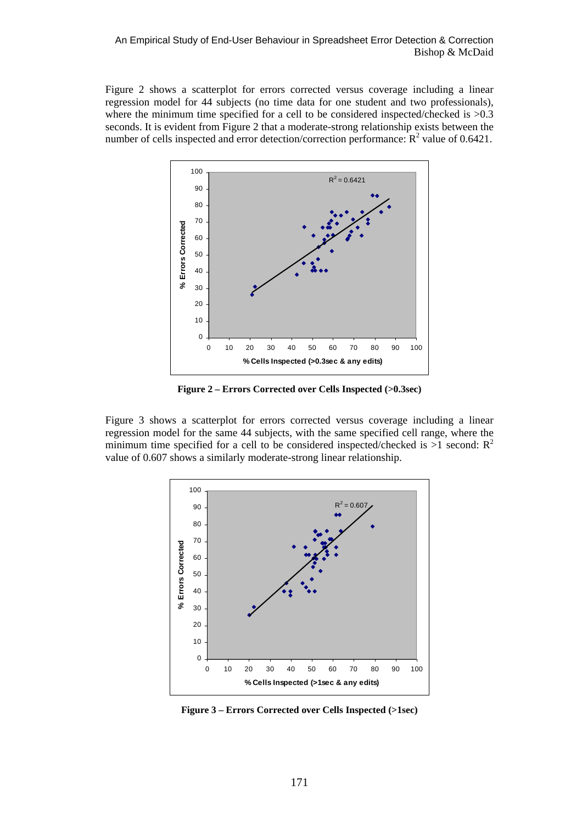Figure 2 shows a scatterplot for errors corrected versus coverage including a linear regression model for 44 subjects (no time data for one student and two professionals), where the minimum time specified for a cell to be considered inspected/checked is  $>0.3$ seconds. It is evident from Figure 2 that a moderate-strong relationship exists between the number of cells inspected and error detection/correction performance:  $\mathbb{R}^2$  value of 0.6421.



**Figure 2 – Errors Corrected over Cells Inspected (>0.3sec)** 

Figure 3 shows a scatterplot for errors corrected versus coverage including a linear regression model for the same 44 subjects, with the same specified cell range, where the minimum time specified for a cell to be considered inspected/checked is  $>1$  second:  $R^2$ value of 0.607 shows a similarly moderate-strong linear relationship.



**Figure 3 – Errors Corrected over Cells Inspected (>1sec)**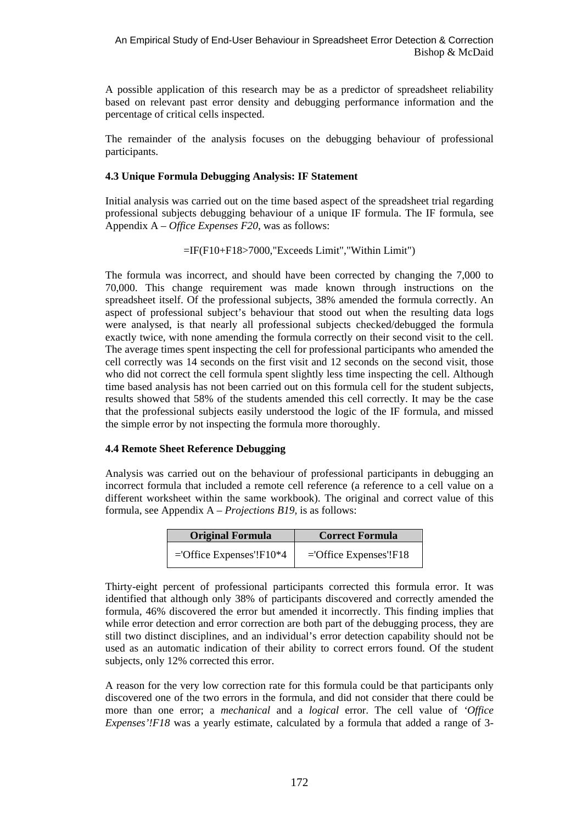A possible application of this research may be as a predictor of spreadsheet reliability based on relevant past error density and debugging performance information and the percentage of critical cells inspected.

The remainder of the analysis focuses on the debugging behaviour of professional participants.

#### **4.3 Unique Formula Debugging Analysis: IF Statement**

Initial analysis was carried out on the time based aspect of the spreadsheet trial regarding professional subjects debugging behaviour of a unique IF formula. The IF formula, see Appendix A – *Office Expenses F20*, was as follows:

```
=IF(F10+F18>7000,"Exceeds Limit","Within Limit")
```
The formula was incorrect, and should have been corrected by changing the 7,000 to 70,000. This change requirement was made known through instructions on the spreadsheet itself. Of the professional subjects, 38% amended the formula correctly. An aspect of professional subject's behaviour that stood out when the resulting data logs were analysed, is that nearly all professional subjects checked/debugged the formula exactly twice, with none amending the formula correctly on their second visit to the cell. The average times spent inspecting the cell for professional participants who amended the cell correctly was 14 seconds on the first visit and 12 seconds on the second visit, those who did not correct the cell formula spent slightly less time inspecting the cell. Although time based analysis has not been carried out on this formula cell for the student subjects, results showed that 58% of the students amended this cell correctly. It may be the case that the professional subjects easily understood the logic of the IF formula, and missed the simple error by not inspecting the formula more thoroughly.

## **4.4 Remote Sheet Reference Debugging**

Analysis was carried out on the behaviour of professional participants in debugging an incorrect formula that included a remote cell reference (a reference to a cell value on a different worksheet within the same workbook). The original and correct value of this formula, see Appendix A – *Projections B19,* is as follows:

| <b>Original Formula</b>       | <b>Correct Formula</b>   |
|-------------------------------|--------------------------|
| $=$ Office Expenses'! $F10*4$ | $=$ Office Expenses'!F18 |

Thirty-eight percent of professional participants corrected this formula error. It was identified that although only 38% of participants discovered and correctly amended the formula, 46% discovered the error but amended it incorrectly. This finding implies that while error detection and error correction are both part of the debugging process, they are still two distinct disciplines, and an individual's error detection capability should not be used as an automatic indication of their ability to correct errors found. Of the student subjects, only 12% corrected this error.

A reason for the very low correction rate for this formula could be that participants only discovered one of the two errors in the formula, and did not consider that there could be more than one error; a *mechanical* and a *logical* error. The cell value of *'Office Expenses'!F18* was a yearly estimate, calculated by a formula that added a range of 3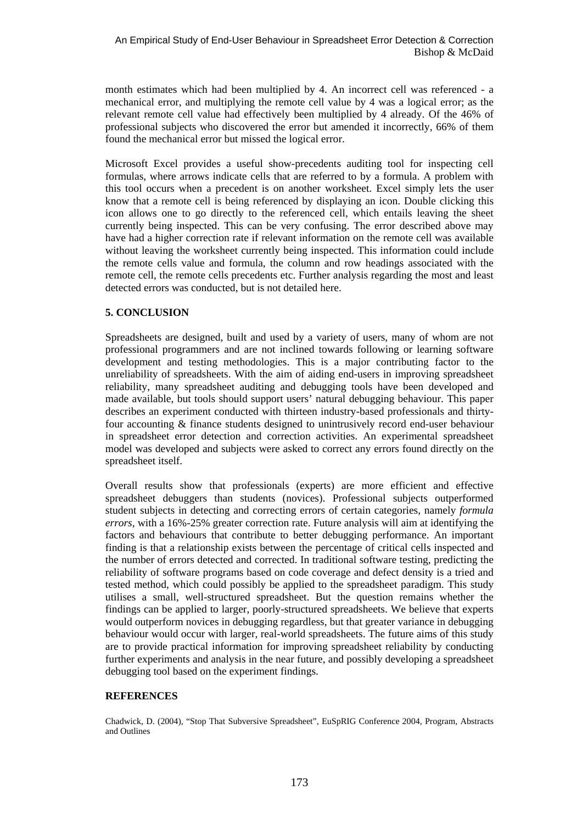month estimates which had been multiplied by 4. An incorrect cell was referenced - a mechanical error, and multiplying the remote cell value by 4 was a logical error; as the relevant remote cell value had effectively been multiplied by 4 already. Of the 46% of professional subjects who discovered the error but amended it incorrectly, 66% of them found the mechanical error but missed the logical error.

Microsoft Excel provides a useful show-precedents auditing tool for inspecting cell formulas, where arrows indicate cells that are referred to by a formula. A problem with this tool occurs when a precedent is on another worksheet. Excel simply lets the user know that a remote cell is being referenced by displaying an icon. Double clicking this icon allows one to go directly to the referenced cell, which entails leaving the sheet currently being inspected. This can be very confusing. The error described above may have had a higher correction rate if relevant information on the remote cell was available without leaving the worksheet currently being inspected. This information could include the remote cells value and formula, the column and row headings associated with the remote cell, the remote cells precedents etc. Further analysis regarding the most and least detected errors was conducted, but is not detailed here.

## **5. CONCLUSION**

Spreadsheets are designed, built and used by a variety of users, many of whom are not professional programmers and are not inclined towards following or learning software development and testing methodologies. This is a major contributing factor to the unreliability of spreadsheets. With the aim of aiding end-users in improving spreadsheet reliability, many spreadsheet auditing and debugging tools have been developed and made available, but tools should support users' natural debugging behaviour. This paper describes an experiment conducted with thirteen industry-based professionals and thirtyfour accounting & finance students designed to unintrusively record end-user behaviour in spreadsheet error detection and correction activities. An experimental spreadsheet model was developed and subjects were asked to correct any errors found directly on the spreadsheet itself.

Overall results show that professionals (experts) are more efficient and effective spreadsheet debuggers than students (novices). Professional subjects outperformed student subjects in detecting and correcting errors of certain categories, namely *formula errors,* with a 16%-25% greater correction rate. Future analysis will aim at identifying the factors and behaviours that contribute to better debugging performance. An important finding is that a relationship exists between the percentage of critical cells inspected and the number of errors detected and corrected. In traditional software testing, predicting the reliability of software programs based on code coverage and defect density is a tried and tested method, which could possibly be applied to the spreadsheet paradigm. This study utilises a small, well-structured spreadsheet. But the question remains whether the findings can be applied to larger, poorly-structured spreadsheets. We believe that experts would outperform novices in debugging regardless, but that greater variance in debugging behaviour would occur with larger, real-world spreadsheets. The future aims of this study are to provide practical information for improving spreadsheet reliability by conducting further experiments and analysis in the near future, and possibly developing a spreadsheet debugging tool based on the experiment findings.

#### **REFERENCES**

Chadwick, D. (2004), "Stop That Subversive Spreadsheet", EuSpRIG Conference 2004, Program, Abstracts and Outlines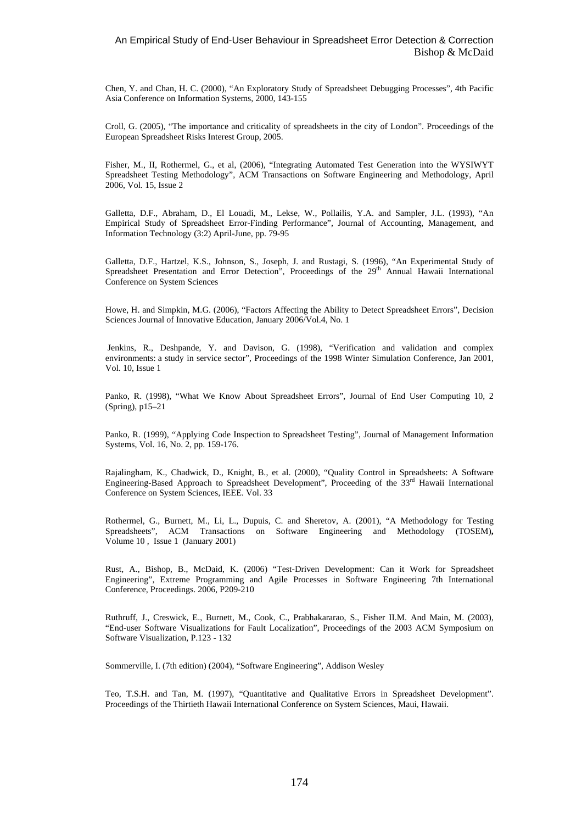#### An Empirical Study of End-User Behaviour in Spreadsheet Error Detection & Correction Bishop & McDaid

Chen, Y. and Chan, H. C. (2000), "An Exploratory Study of Spreadsheet Debugging Processes", 4th Pacific Asia Conference on Information Systems, 2000, 143-155

Croll, G. (2005), "The importance and criticality of spreadsheets in the city of London". Proceedings of the European Spreadsheet Risks Interest Group, 2005.

Fisher, M., II, Rothermel, G., et al, (2006), "Integrating Automated Test Generation into the WYSIWYT Spreadsheet Testing Methodology", ACM Transactions on Software Engineering and Methodology, April 2006, Vol. 15, Issue 2

Galletta, D.F., Abraham, D., El Louadi, M., Lekse, W., Pollailis, Y.A. and Sampler, J.L. (1993), "An Empirical Study of Spreadsheet Error-Finding Performance", Journal of Accounting, Management, and Information Technology (3:2) April-June, pp. 79-95

Galletta, D.F., Hartzel, K.S., Johnson, S., Joseph, J. and Rustagi, S. (1996), "An Experimental Study of Spreadsheet Presentation and Error Detection", Proceedings of the  $29<sup>th</sup>$  Annual Hawaii International Conference on System Sciences

Howe, H. and Simpkin, M.G. (2006), "Factors Affecting the Ability to Detect Spreadsheet Errors", Decision Sciences Journal of Innovative Education, January 2006/Vol.4, No. 1

 Jenkins, R., Deshpande, Y. and Davison, G. (1998), "Verification and validation and complex environments: a study in service sector", Proceedings of the 1998 Winter Simulation Conference, Jan 2001, Vol. 10, Issue 1

Panko, R. (1998), "What We Know About Spreadsheet Errors", Journal of End User Computing 10, 2 (Spring), p15–21

Panko, R. (1999), "Applying Code Inspection to Spreadsheet Testing", Journal of Management Information Systems, Vol. 16, No. 2, pp. 159-176.

Rajalingham, K., Chadwick, D., Knight, B., et al. (2000), "Quality Control in Spreadsheets: A Software Engineering-Based Approach to Spreadsheet Development", Proceeding of the 33rd Hawaii International Conference on System Sciences, IEEE. Vol. 33

Rothermel, G., Burnett, M., Li, L., Dupuis, C. and Sheretov, A. (2001), "A Methodology for Testing Spreadsheets", ACM Transactions on Software Engineering and Methodology (TOSEM), Volume 10 , Issue 1 (January 2001)

Rust, A., Bishop, B., McDaid, K. (2006) "Test-Driven Development: Can it Work for Spreadsheet Engineering", Extreme Programming and Agile Processes in Software Engineering 7th International Conference, Proceedings. 2006, P209-210

Ruthruff, J., Creswick, E., Burnett, M., Cook, C., Prabhakararao, S., Fisher II.M. And Main, M. (2003), "End-user Software Visualizations for Fault Localization", Proceedings of the 2003 ACM Symposium on Software Visualization, P.123 - 132

Sommerville, I. (7th edition) (2004), "Software Engineering", Addison Wesley

Teo, T.S.H. and Tan, M. (1997), "Quantitative and Qualitative Errors in Spreadsheet Development". Proceedings of the Thirtieth Hawaii International Conference on System Sciences, Maui, Hawaii.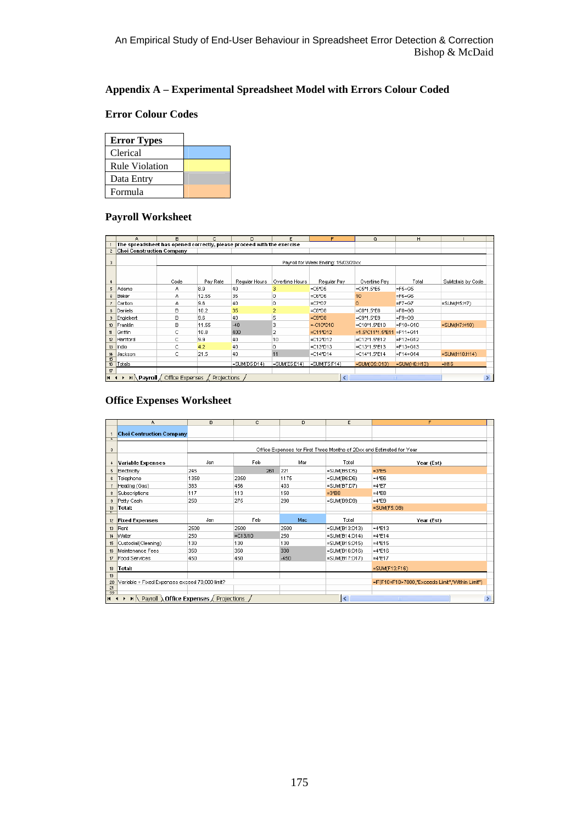# **Appendix A – Experimental Spreadsheet Model with Errors Colour Coded**

# **Error Colour Codes**

| <b>Error Types</b>    |  |
|-----------------------|--|
| Clerical              |  |
| <b>Rule Violation</b> |  |
| Data Entry            |  |
| Formula               |  |

# **Payroll Worksheet**

|                         | A                                | в                                            | с        | D.                                                                     | Ε                  | F.                                  | G                  | H              |                     |
|-------------------------|----------------------------------|----------------------------------------------|----------|------------------------------------------------------------------------|--------------------|-------------------------------------|--------------------|----------------|---------------------|
|                         |                                  |                                              |          | The spreadsheet has opened correctly, please proceed with the exercise |                    |                                     |                    |                |                     |
| $\overline{c}$          | <b>Choi Construction Company</b> |                                              |          |                                                                        |                    |                                     |                    |                |                     |
| 3                       |                                  |                                              |          |                                                                        |                    | Payroll for Week Ending: 15/03/20xx |                    |                |                     |
|                         |                                  | Code                                         | Pay Rate | Regular Hours                                                          | Overtime Hours     | Regular Pay                         | Overtime Pay       | Total          | Subtotals by Code   |
| 5.                      | Adams                            | А                                            | 8.9      | 40                                                                     | 3                  | $=$ C5*D5                           | $=$ C5*1.5*E5      | $=$ F5+G5      |                     |
| 6                       | Baker                            | А                                            | 12.55    | 35                                                                     | n                  | $=$ C6*D6                           | 10                 | $=$ F6+G6      |                     |
|                         | Carlton                          | А                                            | 9.6      | 40                                                                     | o                  | $=$ C7*D7                           | n                  | $=F7+G7$       | $=$ SUM $(H5:H7)$   |
| 8.                      | Daniels                          | в                                            | 10.2     | 35                                                                     |                    | $-C8*D8$                            | $=$ C8*1.5*E8      | $= F8 + G8$    |                     |
| 9                       | Englebert                        | B                                            | 9.6      | 40                                                                     | 5                  | $=$ C9*D8                           | $=$ C9*1.5*E9      | $=$ F9+G9      |                     |
|                         | 10 Franklin                      | в                                            | 11.55    | $-40$                                                                  | 3                  | $=$ -C10*D10                        | =C10*1.5*E10       | $=$ F10+G10    | $=$ SUM(H7:H10)     |
| 11                      | Griffin                          | c                                            | 10.8     | 400                                                                    | 2                  | $= C11*D12$                         | =1.5*C11*1.5*E11   | $=$ F11+G11    |                     |
| 12                      | Hartford                         | c                                            | 9.9      | 40                                                                     | 10                 | $= C12*D12$                         | $= C12*1.5*E12$    | $=F12+G12$     |                     |
|                         | 13 Indio                         | с                                            | 4.2      | 40                                                                     | ٥                  | $= C13*D13$                         | $=$ C13*1.5*E13    | $=$ F13+G13    |                     |
| 14                      | Jackson                          | c                                            | 21.5     | 40                                                                     | 11                 | $= C14*D14$                         | $= C14*1.5*E14$    | $=$ F14+G14    | $=$ SUM $(H10:H14)$ |
| 15<br>16                | Totals                           |                                              |          | =SUM(D5:D14)                                                           | $=$ SUM $(E5:E14)$ | $=$ SUM $(F5:F14)$                  | $=$ SUM $(G5:G13)$ | $=SUM(H6:HT3)$ | $=$ $H16$           |
| 17<br>$H$ $\rightarrow$ |                                  | IN Payroll / Office Expenses / Projections / |          |                                                                        |                    | $\left  \right\rangle$              |                    | <b>TITLE</b>   |                     |

# **Office Expenses Worksheet**

|                                  | А                                                                                | в    | c.         | D      | E                 | F                                                                     |
|----------------------------------|----------------------------------------------------------------------------------|------|------------|--------|-------------------|-----------------------------------------------------------------------|
| $\overline{c}$                   | <b>Choi Contruction Company</b>                                                  |      |            |        |                   |                                                                       |
| $\overline{\mathbf{3}}$          |                                                                                  |      |            |        |                   | Office Expenses for First Three Months of 20xx and Estimated for Year |
| 4                                | <b>Variable Expenses</b>                                                         | Jan  | Feb        | Mar    | Total             | Year (Est)                                                            |
| 5                                | Electricity                                                                      | 245  | 261        | 221    | =SUM(B5:D5)       | $=3*ES$                                                               |
| 6                                | Telephone                                                                        | 1350 | 2350       | 1175   | $=$ SUM $(B6:DB)$ | $=4*EB$                                                               |
| $\overline{7}$                   | Heating (Gas)                                                                    | 383  | 456        | 403    | $=SUM(B7:D7)$     | $=4*E7$                                                               |
| 8                                | Subscriptions                                                                    | 117  | 113        | 150    | $=3*BB$           | $=4*E8$                                                               |
| $\overline{\mathbf{3}}$          | Petty Cash                                                                       | 250  | 275        | 290    | $=$ SUM $(B9:D9)$ | $=4*EB$                                                               |
| 10 <sup>10</sup><br>$\mathbf{u}$ | Total:                                                                           |      |            |        |                   | $=$ SUM $(F5:G9)$                                                     |
| 12                               | <b>Fixed Expenses</b>                                                            | Jan  | Feb        | Mac    | Total             | Year (Est)                                                            |
| 13                               | Rent                                                                             | 2500 | 2500       | 2500   | =SUM(B13:D13)     | $=4*E13$                                                              |
| 14                               | Water                                                                            | 250  | $= C13/10$ | 250    | =SUM(B14:D14)     | $=4*E14$                                                              |
| 15                               | Custodial(Cleaning)                                                              | 130  | 130        | 130    | =SUM(B15:D15)     | $=4*E15$                                                              |
| 16                               | Maintenance Fees                                                                 | 350  | 350        | 330    | =SUM(B16:D16)     | $=4*E16$                                                              |
| 17                               | <b>Food Services</b>                                                             | 450  | 450        | $-450$ | =SUM(B17:D17)     | $=4*E17$                                                              |
| 18                               | Total:                                                                           |      |            |        |                   | =SUM(F13:F16)                                                         |
| 19                               |                                                                                  |      |            |        |                   |                                                                       |
| $\frac{20}{21}$                  | Variable + Fixed Expenses exceed 70,000 limit?                                   |      |            |        |                   | =IF(F10+F18>7000,"Exceeds Limit","Within Limit")                      |
|                                  |                                                                                  |      |            |        |                   |                                                                       |
| $H - 4$                          | $\blacktriangleright$   Payroll $\lambda$ Office Expenses $\angle$ Projections / |      |            |        | l٢                | <b>TITLE</b>                                                          |